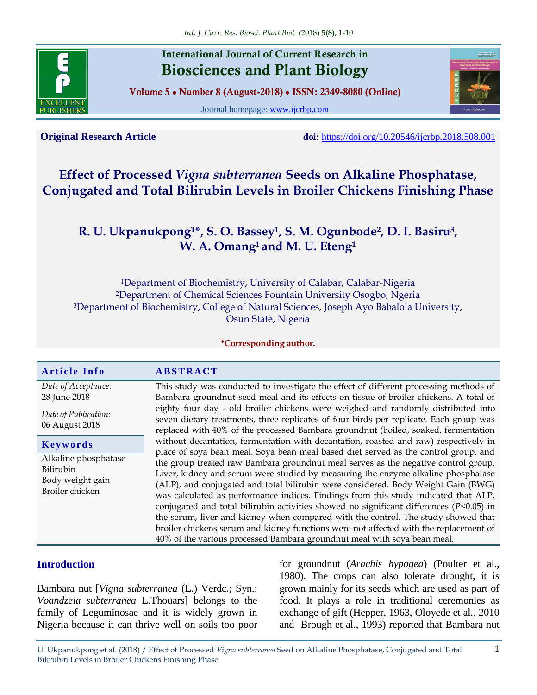

# **International Journal of Current Research in Biosciences and Plant Biology**

**Volume 5 ● Number 8 (August-2018) ● ISSN: 2349-8080 (Online)**

Journal homepage: [www.ijcrbp.com](http://www.ijcrbp.com/)



**Original Research Article doi:** <https://doi.org/10.20546/ijcrbp.2018.508.001>

# **Effect of Processed** *Vigna subterranea* **Seeds on Alkaline Phosphatase, Conjugated and Total Bilirubin Levels in Broiler Chickens Finishing Phase**

# **R. U. Ukpanukpong1\*, S. O. Bassey<sup>1</sup> , S. M. Ogunbode<sup>2</sup> , D. I. Basiru<sup>3</sup> , W. A. Omang1 and M. U. Eteng<sup>1</sup>**

Department of Biochemistry, University of Calabar, Calabar-Nigeria Department of Chemical Sciences Fountain University Osogbo, Ngeria Department of Biochemistry, College of Natural Sciences, Joseph Ayo Babalola University, Osun State, Nigeria

**\*Corresponding author.**

# Article Info<br> **ABSTRACT**

*Date of Acceptance:* 28 June 2018

*Date of Publication:* 06 August 2018

**K e y w o r d s**

Alkaline phosphatase Bilirubin Body weight gain Broiler chicken

This study was conducted to investigate the effect of different processing methods of Bambara groundnut seed meal and its effects on tissue of broiler chickens. A total of eighty four day - old broiler chickens were weighed and randomly distributed into seven dietary treatments, three replicates of four birds per replicate. Each group was replaced with 40% of the processed Bambara groundnut (boiled, soaked, fermentation without decantation, fermentation with decantation, roasted and raw) respectively in place of soya bean meal. Soya bean meal based diet served as the control group, and the group treated raw Bambara groundnut meal serves as the negative control group. Liver, kidney and serum were studied by measuring the enzyme alkaline phosphatase (ALP), and conjugated and total bilirubin were considered. Body Weight Gain (BWG) was calculated as performance indices. Findings from this study indicated that ALP, conjugated and total bilirubin activities showed no significant differences (*P<*0.05) in the serum, liver and kidney when compared with the control. The study showed that broiler chickens serum and kidney functions were not affected with the replacement of 40% of the various processed Bambara groundnut meal with soya bean meal.

# **Introduction**

Bambara nut [*Vigna subterranea* (L.) Verdc.; Syn.: *Voandzeia subterranea* L*.*Thouars] belongs to the family of Leguminosae and it is widely grown in Nigeria because it can thrive well on soils too poor for groundnut (*Arachis hypogea*) (Poulter et al., 1980). The crops can also tolerate drought, it is grown mainly for its seeds which are used as part of food. It plays a role in traditional ceremonies as exchange of gift (Hepper, 1963, Oloyede et al*.,* 2010 and Brough et al., 1993) reported that Bambara nut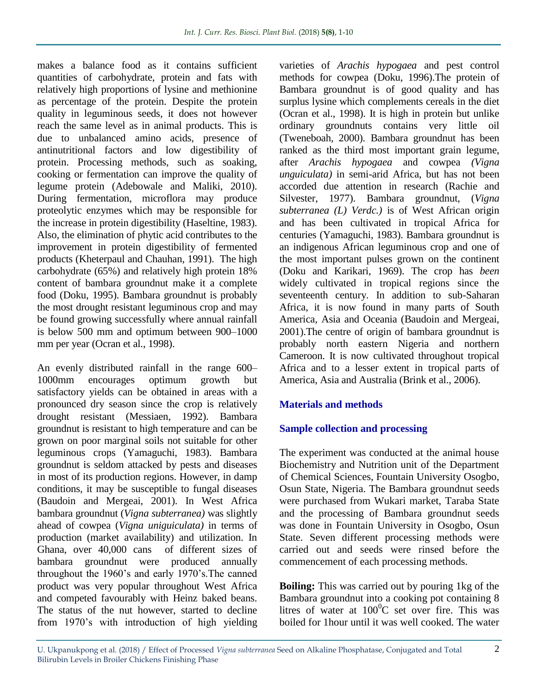makes a balance food as it contains sufficient quantities of carbohydrate, protein and fats with relatively high proportions of lysine and methionine as percentage of the protein. Despite the protein quality in leguminous seeds, it does not however reach the same level as in animal products. This is due to unbalanced amino acids, presence of antinutritional factors and low digestibility of protein. Processing methods, such as soaking, cooking or fermentation can improve the quality of legume protein (Adebowale and Maliki, 2010). During fermentation, microflora may produce proteolytic enzymes which may be responsible for the increase in protein digestibility (Haseltine, 1983). Also, the elimination of phytic acid contributes to the improvement in protein digestibility of fermented products (Kheterpaul and Chauhan, 1991). The high carbohydrate (65%) and relatively high protein 18% content of bambara groundnut make it a complete food (Doku, 1995). Bambara groundnut is probably the most drought resistant leguminous crop and may be found growing successfully where annual rainfall is below 500 mm and optimum between 900–1000 mm per year (Ocran et al., 1998).

An evenly distributed rainfall in the range 600– 1000mm encourages optimum growth but satisfactory yields can be obtained in areas with a pronounced dry season since the crop is relatively drought resistant (Messiaen, 1992). Bambara groundnut is resistant to high temperature and can be grown on poor marginal soils not suitable for other leguminous crops (Yamaguchi, 1983). Bambara groundnut is seldom attacked by pests and diseases in most of its production regions. However, in damp conditions, it may be susceptible to fungal diseases (Baudoin and Mergeai, 2001). In West Africa bambara groundnut (*Vigna subterranea)* was slightly ahead of cowpea (*Vigna uniguiculata)* in terms of production (market availability) and utilization. In Ghana, over 40,000 cans of different sizes of bambara groundnut were produced annually throughout the 1960's and early 1970's.The canned product was very popular throughout West Africa and competed favourably with Heinz baked beans. The status of the nut however, started to decline from 1970's with introduction of high yielding

varieties of *Arachis hypogaea* and pest control methods for cowpea (Doku, 1996).The protein of Bambara groundnut is of good quality and has surplus lysine which complements cereals in the diet (Ocran et al., 1998). It is high in protein but unlike ordinary groundnuts contains very little oil (Tweneboah, 2000). Bambara groundnut has been ranked as the third most important grain legume, after *Arachis hypogaea* and cowpea *(Vigna unguiculata)* in semi-arid Africa, but has not been accorded due attention in research (Rachie and Silvester, 1977). Bambara groundnut, (*Vigna subterranea (L) Verdc.)* is of West African origin and has been cultivated in tropical Africa for centuries (Yamaguchi, 1983). Bambara groundnut is an indigenous African leguminous crop and one of the most important pulses grown on the continent (Doku and Karikari, 1969). The crop has *been* widely cultivated in tropical regions since the seventeenth century. In addition to sub-Saharan Africa, it is now found in many parts of South America, Asia and Oceania (Baudoin and Mergeai, 2001).The centre of origin of bambara groundnut is probably north eastern Nigeria and northern Cameroon. It is now cultivated throughout tropical Africa and to a lesser extent in tropical parts of America, Asia and Australia (Brink et al., 2006).

# **Materials and methods**

# **Sample collection and processing**

The experiment was conducted at the animal house Biochemistry and Nutrition unit of the Department of Chemical Sciences, Fountain University Osogbo, Osun State, Nigeria. The Bambara groundnut seeds were purchased from Wukari market, Taraba State and the processing of Bambara groundnut seeds was done in Fountain University in Osogbo, Osun State. Seven different processing methods were carried out and seeds were rinsed before the commencement of each processing methods.

**Boiling:** This was carried out by pouring 1kg of the Bambara groundnut into a cooking pot containing 8 litres of water at  $100^0C$  set over fire. This was boiled for 1hour until it was well cooked. The water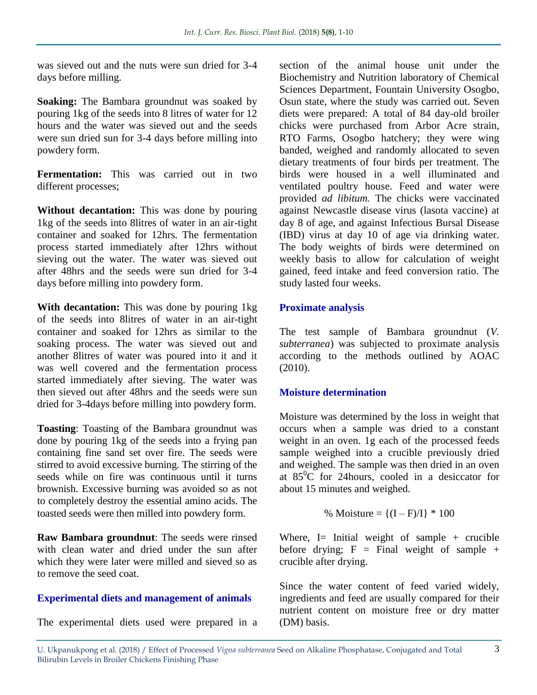was sieved out and the nuts were sun dried for 3-4 days before milling.

**Soaking:** The Bambara groundnut was soaked by pouring 1kg of the seeds into 8 litres of water for 12 hours and the water was sieved out and the seeds were sun dried sun for 3-4 days before milling into powdery form.

**Fermentation:** This was carried out in two different processes;

**Without decantation:** This was done by pouring 1kg of the seeds into 8litres of water in an air-tight container and soaked for 12hrs. The fermentation process started immediately after 12hrs without sieving out the water. The water was sieved out after 48hrs and the seeds were sun dried for 3-4 days before milling into powdery form.

**With decantation:** This was done by pouring 1kg of the seeds into 8litres of water in an air-tight container and soaked for 12hrs as similar to the soaking process. The water was sieved out and another 8litres of water was poured into it and it was well covered and the fermentation process started immediately after sieving. The water was then sieved out after 48hrs and the seeds were sun dried for 3-4days before milling into powdery form.

**Toasting**: Toasting of the Bambara groundnut was done by pouring 1kg of the seeds into a frying pan containing fine sand set over fire. The seeds were stirred to avoid excessive burning. The stirring of the seeds while on fire was continuous until it turns brownish. Excessive burning was avoided so as not to completely destroy the essential amino acids. The toasted seeds were then milled into powdery form.

**Raw Bambara groundnut**: The seeds were rinsed with clean water and dried under the sun after which they were later were milled and sieved so as to remove the seed coat.

# **Experimental diets and management of animals**

The experimental diets used were prepared in a

section of the animal house unit under the Biochemistry and Nutrition laboratory of Chemical Sciences Department, Fountain University Osogbo, Osun state, where the study was carried out. Seven diets were prepared: A total of 84 day-old broiler chicks were purchased from Arbor Acre strain, RTO Farms, Osogbo hatchery; they were wing banded, weighed and randomly allocated to seven dietary treatments of four birds per treatment. The birds were housed in a well illuminated and ventilated poultry house. Feed and water were provided *ad libitum.* The chicks were vaccinated against Newcastle disease virus (lasota vaccine) at day 8 of age, and against Infectious Bursal Disease (IBD) virus at day 10 of age via drinking water. The body weights of birds were determined on weekly basis to allow for calculation of weight gained, feed intake and feed conversion ratio. The study lasted four weeks.

### **Proximate analysis**

The test sample of Bambara groundnut (*V. subterranea*) was subjected to proximate analysis according to the methods outlined by AOAC (2010).

# **Moisture determination**

Moisture was determined by the loss in weight that occurs when a sample was dried to a constant weight in an oven. 1g each of the processed feeds sample weighed into a crucible previously dried and weighed. The sample was then dried in an oven at  $85^{\circ}$ C for 24 hours, cooled in a desiccator for about 15 minutes and weighed.

% Moisture = 
$$
\{(I - F)/I\} * 100
$$

Where,  $I =$  Initial weight of sample + crucible before drying;  $F = Final$  weight of sample + crucible after drying.

Since the water content of feed varied widely, ingredients and feed are usually compared for their nutrient content on moisture free or dry matter (DM) basis.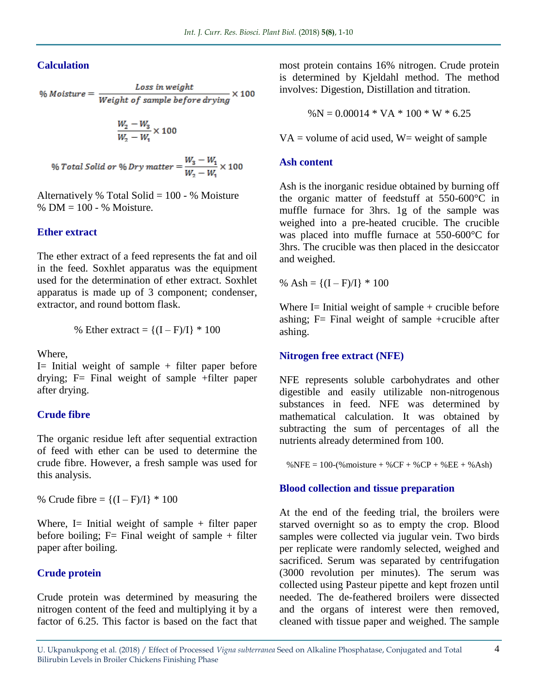### **Calculation**

$$
\% \text{ Moisture} = \frac{\text{Loss in weight}}{\text{Weight of sample before drying}} \times 100
$$

$$
\frac{W_2-W_3}{W_2-W_1}\times 100
$$

% Total Solid or % Dry matter =  $\frac{W_3 - W_1}{W_2 - W_1} \times 100$ 

Alternatively % Total Solid =  $100 - %$  Moisture % DM = 100 - % Moisture.

#### **Ether extract**

The ether extract of a feed represents the fat and oil in the feed. Soxhlet apparatus was the equipment used for the determination of ether extract. Soxhlet apparatus is made up of 3 component; condenser, extractor, and round bottom flask.

% Ethernet extract = 
$$
{(I - F)/I} * 100
$$

Where,

I= Initial weight of sample  $+$  filter paper before drying; F= Final weight of sample +filter paper after drying.

#### **Crude fibre**

The organic residue left after sequential extraction of feed with ether can be used to determine the crude fibre. However, a fresh sample was used for this analysis.

% Crude fibre =  ${(I - F)/I} * 100$ 

Where, I= Initial weight of sample  $+$  filter paper before boiling;  $F=$  Final weight of sample + filter paper after boiling.

#### **Crude protein**

Crude protein was determined by measuring the nitrogen content of the feed and multiplying it by a factor of 6.25. This factor is based on the fact that most protein contains 16% nitrogen. Crude protein is determined by Kjeldahl method. The method involves: Digestion, Distillation and titration.

$$
\%N = 0.00014 * VA * 100 * W * 6.25
$$

 $VA = volume of acid used, W = weight of sample$ 

#### **Ash content**

Ash is the inorganic residue obtained by burning off the organic matter of feedstuff at 550-600°C in muffle furnace for 3hrs. 1g of the sample was weighed into a pre-heated crucible. The crucible was placed into muffle furnace at 550-600°C for 3hrs. The crucible was then placed in the desiccator and weighed.

% Ash =  ${(I - F)/I} * 100$ 

Where  $I=$  Initial weight of sample  $+$  crucible before ashing;  $F=$  Final weight of sample +crucible after ashing.

#### **Nitrogen free extract (NFE)**

NFE represents soluble carbohydrates and other digestible and easily utilizable non-nitrogenous substances in feed. NFE was determined by mathematical calculation. It was obtained by subtracting the sum of percentages of all the nutrients already determined from 100.

%NFE = 100-(%moisture + %CF + %CP + %EE + %Ash)

#### **Blood collection and tissue preparation**

At the end of the feeding trial, the broilers were starved overnight so as to empty the crop. Blood samples were collected via jugular vein. Two birds per replicate were randomly selected, weighed and sacrificed. Serum was separated by centrifugation (3000 revolution per minutes). The serum was collected using Pasteur pipette and kept frozen until needed. The de-feathered broilers were dissected and the organs of interest were then removed, cleaned with tissue paper and weighed. The sample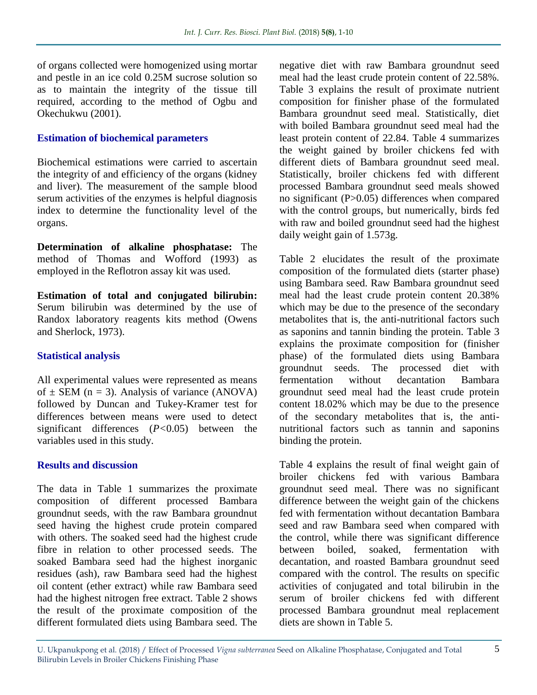of organs collected were homogenized using mortar and pestle in an ice cold 0.25M sucrose solution so as to maintain the integrity of the tissue till required, according to the method of Ogbu and Okechukwu (2001).

## **Estimation of biochemical parameters**

Biochemical estimations were carried to ascertain the integrity of and efficiency of the organs (kidney and liver). The measurement of the sample blood serum activities of the enzymes is helpful diagnosis index to determine the functionality level of the organs.

**Determination of alkaline phosphatase:** The method of Thomas and Wofford (1993) as employed in the Reflotron assay kit was used.

**Estimation of total and conjugated bilirubin:**  Serum bilirubin was determined by the use of Randox laboratory reagents kits method (Owens and Sherlock, 1973).

# **Statistical analysis**

All experimental values were represented as means of  $\pm$  SEM (n = 3). Analysis of variance (ANOVA) followed by Duncan and Tukey-Kramer test for differences between means were used to detect significant differences (*P<*0.05) between the variables used in this study.

#### **Results and discussion**

The data in Table 1 summarizes the proximate composition of different processed Bambara groundnut seeds, with the raw Bambara groundnut seed having the highest crude protein compared with others. The soaked seed had the highest crude fibre in relation to other processed seeds. The soaked Bambara seed had the highest inorganic residues (ash), raw Bambara seed had the highest oil content (ether extract) while raw Bambara seed had the highest nitrogen free extract. Table 2 shows the result of the proximate composition of the different formulated diets using Bambara seed. The

negative diet with raw Bambara groundnut seed meal had the least crude protein content of 22.58%. Table 3 explains the result of proximate nutrient composition for finisher phase of the formulated Bambara groundnut seed meal. Statistically, diet with boiled Bambara groundnut seed meal had the least protein content of 22.84. Table 4 summarizes the weight gained by broiler chickens fed with different diets of Bambara groundnut seed meal. Statistically, broiler chickens fed with different processed Bambara groundnut seed meals showed no significant (P>0.05) differences when compared with the control groups, but numerically, birds fed with raw and boiled groundnut seed had the highest daily weight gain of 1.573g.

Table 2 elucidates the result of the proximate composition of the formulated diets (starter phase) using Bambara seed. Raw Bambara groundnut seed meal had the least crude protein content 20.38% which may be due to the presence of the secondary metabolites that is, the anti-nutritional factors such as saponins and tannin binding the protein. Table 3 explains the proximate composition for (finisher phase) of the formulated diets using Bambara groundnut seeds. The processed diet with fermentation without decantation Bambara groundnut seed meal had the least crude protein content 18.02% which may be due to the presence of the secondary metabolites that is, the antinutritional factors such as tannin and saponins binding the protein.

Table 4 explains the result of final weight gain of broiler chickens fed with various Bambara groundnut seed meal. There was no significant difference between the weight gain of the chickens fed with fermentation without decantation Bambara seed and raw Bambara seed when compared with the control, while there was significant difference between boiled, soaked, fermentation with decantation, and roasted Bambara groundnut seed compared with the control. The results on specific activities of conjugated and total bilirubin in the serum of broiler chickens fed with different processed Bambara groundnut meal replacement diets are shown in Table 5.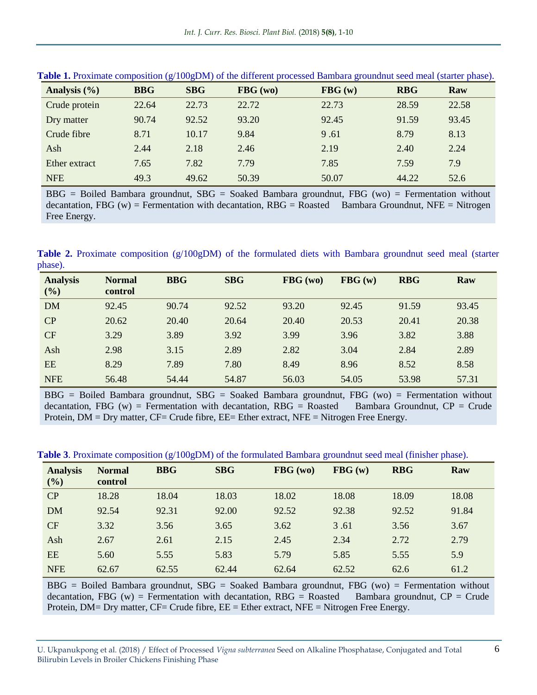| Analysis (%)  | <b>BBG</b> | <b>SBG</b> | FBG (wo) | ັ<br>FBG(w) | <b>RBG</b> | Raw   |
|---------------|------------|------------|----------|-------------|------------|-------|
| Crude protein | 22.64      | 22.73      | 22.72    | 22.73       | 28.59      | 22.58 |
| Dry matter    | 90.74      | 92.52      | 93.20    | 92.45       | 91.59      | 93.45 |
| Crude fibre   | 8.71       | 10.17      | 9.84     | 9.61        | 8.79       | 8.13  |
| Ash           | 2.44       | 2.18       | 2.46     | 2.19        | 2.40       | 2.24  |
| Ether extract | 7.65       | 7.82       | 7.79     | 7.85        | 7.59       | 7.9   |
| <b>NFE</b>    | 49.3       | 49.62      | 50.39    | 50.07       | 44.22      | 52.6  |

**Table 1.** Proximate composition (g/100gDM) of the different processed Bambara groundnut seed meal (starter phase).

BBG = Boiled Bambara groundnut, SBG = Soaked Bambara groundnut, FBG (wo) = Fermentation without decantation, FBG (w) = Fermentation with decantation, RBG = Roasted Bambara Groundnut, NFE = Nitrogen Free Energy.

**Table 2.** Proximate composition (g/100gDM) of the formulated diets with Bambara groundnut seed meal (starter phase).

| <b>Analysis</b><br>(%) | <b>Normal</b><br>control | <b>BBG</b> | <b>SBG</b> | FBG (wo) | FBG(w) | <b>RBG</b> | Raw   |
|------------------------|--------------------------|------------|------------|----------|--------|------------|-------|
| <b>DM</b>              | 92.45                    | 90.74      | 92.52      | 93.20    | 92.45  | 91.59      | 93.45 |
| CP                     | 20.62                    | 20.40      | 20.64      | 20.40    | 20.53  | 20.41      | 20.38 |
| CF                     | 3.29                     | 3.89       | 3.92       | 3.99     | 3.96   | 3.82       | 3.88  |
| Ash                    | 2.98                     | 3.15       | 2.89       | 2.82     | 3.04   | 2.84       | 2.89  |
| EE                     | 8.29                     | 7.89       | 7.80       | 8.49     | 8.96   | 8.52       | 8.58  |
| <b>NFE</b>             | 56.48                    | 54.44      | 54.87      | 56.03    | 54.05  | 53.98      | 57.31 |

BBG = Boiled Bambara groundnut, SBG = Soaked Bambara groundnut, FBG (wo) = Fermentation without decantation, FBG (w) = Fermentation with decantation, RBG = Roasted Bambara Groundnut,  $CP = Crude$ Protein, DM = Dry matter, CF= Crude fibre, EE= Ether extract, NFE = Nitrogen Free Energy.

**Table 3**. Proximate composition (g/100gDM) of the formulated Bambara groundnut seed meal (finisher phase).

| <b>Analysis</b><br>(%) | <b>Normal</b><br>control | <b>BBG</b> | <b>SBG</b> | FBG (wo) | FBG(w) | <b>RBG</b> | Raw   |
|------------------------|--------------------------|------------|------------|----------|--------|------------|-------|
| CP                     | 18.28                    | 18.04      | 18.03      | 18.02    | 18.08  | 18.09      | 18.08 |
| <b>DM</b>              | 92.54                    | 92.31      | 92.00      | 92.52    | 92.38  | 92.52      | 91.84 |
| <b>CF</b>              | 3.32                     | 3.56       | 3.65       | 3.62     | 3.61   | 3.56       | 3.67  |
| Ash                    | 2.67                     | 2.61       | 2.15       | 2.45     | 2.34   | 2.72       | 2.79  |
| EE                     | 5.60                     | 5.55       | 5.83       | 5.79     | 5.85   | 5.55       | 5.9   |
| <b>NFE</b>             | 62.67                    | 62.55      | 62.44      | 62.64    | 62.52  | 62.6       | 61.2  |

BBG = Boiled Bambara groundnut, SBG = Soaked Bambara groundnut, FBG (wo) = Fermentation without decantation, FBG (w) = Fermentation with decantation, RBG = Roasted Bambara groundnut,  $CP = Crude$ Protein,  $DM = Dry$  matter,  $CF = crude$  fibre,  $EE = Ethernet$  extract,  $NFE = Nitrogen$  Free Energy.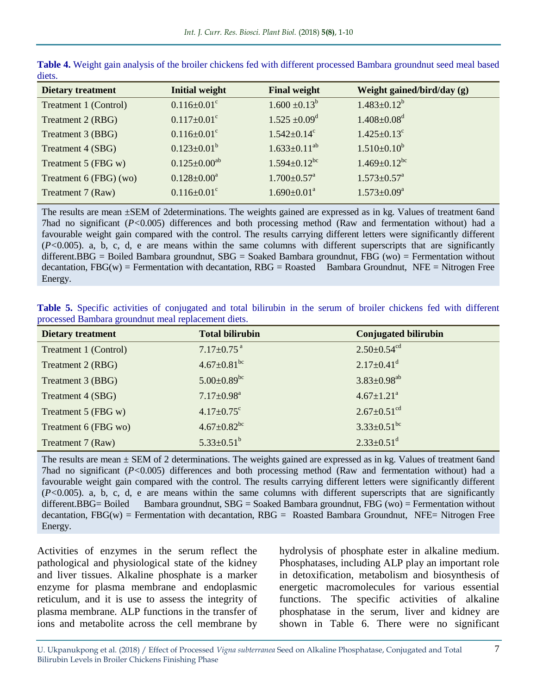| <b>Dietary treatment</b> | <b>Initial weight</b>         | <b>Final weight</b>            | Weight gained/bird/day (g)     |
|--------------------------|-------------------------------|--------------------------------|--------------------------------|
| Treatment 1 (Control)    | $0.116 \pm 0.01$ <sup>c</sup> | $1.600 \pm 0.13^b$             | $1.483 \pm 0.12^b$             |
| Treatment 2 (RBG)        | $0.117 \pm 0.01$ <sup>c</sup> | $1.525 \pm 0.09$ <sup>d</sup>  | $1.408 \pm 0.08$ <sup>d</sup>  |
| Treatment 3 (BBG)        | $0.116 \pm 0.01$ <sup>c</sup> | $1.542 \pm 0.14$ <sup>c</sup>  | $1.425 \pm 0.13$ <sup>c</sup>  |
| Treatment 4 (SBG)        | $0.123 \pm 0.01^b$            | $1.633 \pm 0.11^{ab}$          | $1.510 \pm 0.10^b$             |
| Treatment 5 (FBG w)      | $0.125 \pm 0.00^{ab}$         | $1.594 \pm 0.12$ <sup>bc</sup> | $1.469 \pm 0.12$ <sup>bc</sup> |
| Treatment 6 (FBG) (wo)   | $0.128 \pm 0.00^a$            | $1.700 \pm 0.57$ <sup>a</sup>  | $1.573 \pm 0.57$ <sup>a</sup>  |
| Treatment 7 (Raw)        | $0.116 \pm 0.01$ <sup>c</sup> | $1.690 \pm 0.01^a$             | $1.573 \pm 0.09^a$             |
|                          |                               |                                |                                |

**Table 4.** Weight gain analysis of the broiler chickens fed with different processed Bambara groundnut seed meal based diets.

The results are mean  $\pm$ SEM of 2determinations. The weights gained are expressed as in kg. Values of treatment 6and 7had no significant (*P<*0.005) differences and both processing method (Raw and fermentation without) had a favourable weight gain compared with the control. The results carrying different letters were significantly different (*P<*0.005). a, b, c, d, e are means within the same columns with different superscripts that are significantly different.BBG = Boiled Bambara groundnut, SBG = Soaked Bambara groundnut, FBG (wo) = Fermentation without decantation,  $FBG(w)$  = Fermentation with decantation,  $RBG = Rossted$  Bambara Groundnut,  $NFE = Nitrogen$  Free Energy.

**Table 5.** Specific activities of conjugated and total bilirubin in the serum of broiler chickens fed with different processed Bambara groundnut meal replacement diets.

| <b>Dietary treatment</b> | <b>Total bilirubin</b>        | <b>Conjugated bilirubin</b>   |
|--------------------------|-------------------------------|-------------------------------|
| Treatment 1 (Control)    | $7.17 \pm 0.75$ <sup>a</sup>  | $2.50 \pm 0.54$ <sup>cd</sup> |
| Treatment 2 (RBG)        | $4.67 \pm 0.81$ <sup>bc</sup> | $2.17 \pm 0.41$ <sup>d</sup>  |
| Treatment 3 (BBG)        | $5.00 \pm 0.89$ <sup>bc</sup> | $3.83 \pm 0.98$ <sup>ab</sup> |
| Treatment 4 (SBG)        | $7.17 \pm 0.98$ <sup>a</sup>  | $4.67 \pm 1.21$ <sup>a</sup>  |
| Treatment 5 (FBG w)      | $4.17 \pm 0.75$ °             | $2.67 \pm 0.51$ <sup>cd</sup> |
| Treatment 6 (FBG wo)     | $4.67 \pm 0.82$ <sup>bc</sup> | $3.33 \pm 0.51$ <sup>bc</sup> |
| Treatment 7 (Raw)        | $5.33 \pm 0.51^{\rm b}$       | $2.33 \pm 0.51$ <sup>d</sup>  |

The results are mean  $\pm$  SEM of 2 determinations. The weights gained are expressed as in kg. Values of treatment 6and 7had no significant (*P<*0.005) differences and both processing method (Raw and fermentation without) had a favourable weight gain compared with the control. The results carrying different letters were significantly different (*P<*0.005). a, b, c, d, e are means within the same columns with different superscripts that are significantly different.BBG= Boiled Bambara groundnut,  $SBG =$  Soaked Bambara groundnut, FBG (wo) = Fermentation without decantation,  $FBG(w)$  = Fermentation with decantation,  $RBG =$  Roasted Bambara Groundnut, NFE= Nitrogen Free Energy.

Activities of enzymes in the serum reflect the pathological and physiological state of the kidney and liver tissues. Alkaline phosphate is a marker enzyme for plasma membrane and endoplasmic reticulum, and it is use to assess the integrity of plasma membrane. ALP functions in the transfer of ions and metabolite across the cell membrane by

hydrolysis of phosphate ester in alkaline medium. Phosphatases, including ALP play an important role in detoxification, metabolism and biosynthesis of energetic macromolecules for various essential functions. The specific activities of alkaline phosphatase in the serum, liver and kidney are shown in Table 6. There were no significant

U. Ukpanukpong et al. (2018) / Effect of Processed *Vigna subterranea* Seed on Alkaline Phosphatase, Conjugated and Total Bilirubin Levels in Broiler Chickens Finishing Phase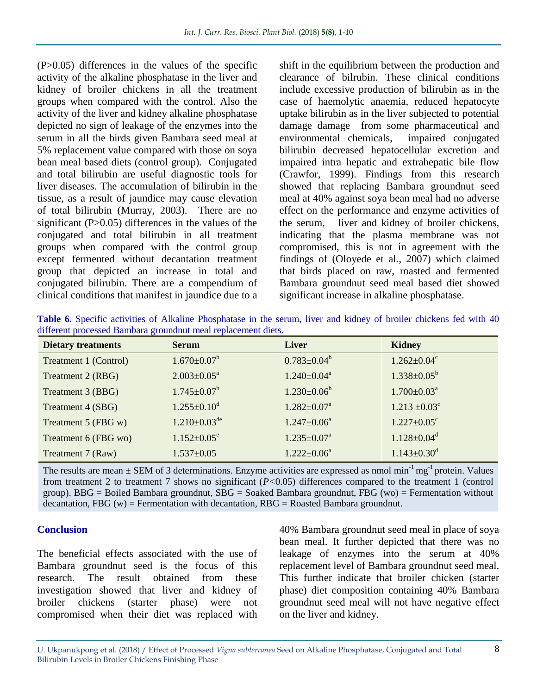(P>0.05) differences in the values of the specific activity of the alkaline phosphatase in the liver and kidney of broiler chickens in all the treatment groups when compared with the control. Also the activity of the liver and kidney alkaline phosphatase depicted no sign of leakage of the enzymes into the serum in all the birds given Bambara seed meal at 5% replacement value compared with those on soya bean meal based diets (control group). Conjugated and total bilirubin are useful diagnostic tools for liver diseases. The accumulation of bilirubin in the tissue, as a result of jaundice may cause elevation of total bilirubin (Murray, 2003). There are no significant (P>0.05) differences in the values of the conjugated and total bilirubin in all treatment groups when compared with the control group except fermented without decantation treatment group that depicted an increase in total and conjugated bilirubin. There are a compendium of clinical conditions that manifest in jaundice due to a

shift in the equilibrium between the production and clearance of bilrubin. These clinical conditions include excessive production of bilirubin as in the case of haemolytic anaemia, reduced hepatocyte uptake bilirubin as in the liver subjected to potential damage damage from some pharmaceutical and environmental chemicals, impaired conjugated bilirubin decreased hepatocellular excretion and impaired intra hepatic and extrahepatic bile flow (Crawfor, 1999). Findings from this research showed that replacing Bambara groundnut seed meal at 40% against soya bean meal had no adverse effect on the performance and enzyme activities of the serum, liver and kidney of broiler chickens, indicating that the plasma membrane was not compromised, this is not in agreement with the findings of (Oloyede et al*.*, 2007) which claimed that birds placed on raw, roasted and fermented Bambara groundnut seed meal based diet showed significant increase in alkaline phosphatase.

|  | Table 6. Specific activities of Alkaline Phosphatase in the serum, liver and kidney of broiler chickens fed with 40 |  |  |  |  |  |  |
|--|---------------------------------------------------------------------------------------------------------------------|--|--|--|--|--|--|
|  | different processed Bambara ground nut meal replacement diets.                                                      |  |  |  |  |  |  |

| <b>Dietary treatments</b> | <b>Serum</b>                   | <b>Liver</b>                  | <b>Kidney</b>                 |
|---------------------------|--------------------------------|-------------------------------|-------------------------------|
| Treatment 1 (Control)     | $1.670 \pm 0.07^{\rm b}$       | $0.783 \pm 0.04^b$            | $1.262 \pm 0.04$ <sup>c</sup> |
| Treatment 2 (RBG)         | $2.003 \pm 0.05^{\text{a}}$    | $1.240 \pm 0.04^{\text{a}}$   | $1.338 \pm 0.05^{\rm b}$      |
| Treatment 3 (BBG)         | $1.745 \pm 0.07^b$             | $1.230 \pm 0.06^b$            | $1.700 \pm 0.03^{\text{a}}$   |
| Treatment 4 (SBG)         | $1.255 \pm 0.10$ <sup>d</sup>  | $1.282 \pm 0.07^{\text{a}}$   | $1.213 \pm 0.03$ <sup>c</sup> |
| Treatment 5 (FBG w)       | $1.210 \pm 0.03$ <sup>de</sup> | $1.247 \pm 0.06^{\mathrm{a}}$ | $1.227 \pm 0.05$ °            |
| Treatment 6 (FBG wo)      | $1.152 \pm 0.05^e$             | $1.235 \pm 0.07^{\text{a}}$   | $1.128 \pm 0.04$ <sup>d</sup> |
| Treatment 7 (Raw)         | $1.537 \pm 0.05$               | $1.222 \pm 0.06^a$            | $1.143 \pm 0.30$ <sup>d</sup> |

The results are mean  $\pm$  SEM of 3 determinations. Enzyme activities are expressed as nmol min<sup>-1</sup> mg<sup>-1</sup> protein. Values from treatment 2 to treatment 7 shows no significant (*P<*0.05) differences compared to the treatment 1 (control group). BBG = Boiled Bambara groundnut, SBG = Soaked Bambara groundnut, FBG (wo) = Fermentation without decantation, FBG  $(w)$  = Fermentation with decantation, RBG = Roasted Bambara groundnut.

#### **Conclusion**

The beneficial effects associated with the use of Bambara groundnut seed is the focus of this research. The result obtained from these investigation showed that liver and kidney of broiler chickens (starter phase) were not compromised when their diet was replaced with 40% Bambara groundnut seed meal in place of soya bean meal. It further depicted that there was no leakage of enzymes into the serum at 40% replacement level of Bambara groundnut seed meal. This further indicate that broiler chicken (starter phase) diet composition containing 40% Bambara groundnut seed meal will not have negative effect on the liver and kidney.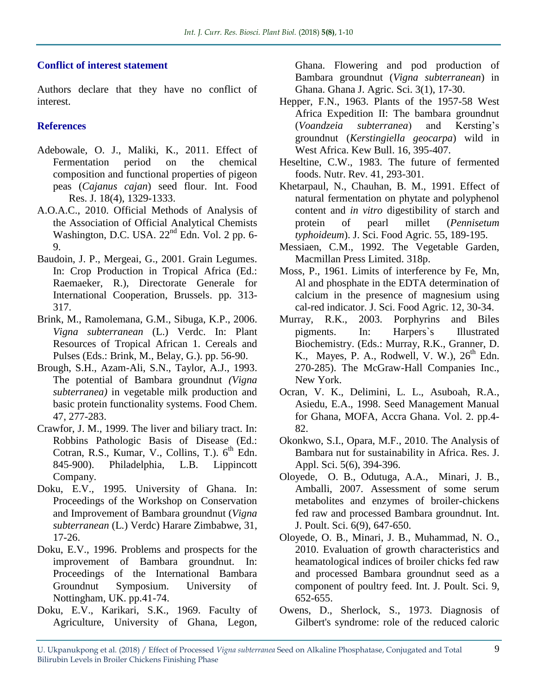# **Conflict of interest statement**

Authors declare that they have no conflict of interest.

# **References**

- Adebowale, O. J., Maliki, K., 2011. Effect of Fermentation period on the chemical composition and functional properties of pigeon peas (*Cajanus cajan*) seed flour. Int. Food Res. J. 18(4), 1329-1333.
- A.O.A.C., 2010. Official Methods of Analysis of the Association of Official Analytical Chemists Washington, D.C. USA. 22<sup>nd</sup> Edn. Vol. 2 pp. 6-9.
- Baudoin, J. P., Mergeai, G., 2001. Grain Legumes. In: Crop Production in Tropical Africa (Ed.: Raemaeker, R.), Directorate Generale for International Cooperation, Brussels. pp. 313- 317.
- Brink, M., Ramolemana, G.M., Sibuga, K.P., 2006. *Vigna subterranean* (L.) Verdc. In: Plant Resources of Tropical African 1. Cereals and Pulses (Eds.: Brink, M., Belay, G.). pp. 56-90.
- Brough, S.H., Azam-Ali, S.N., Taylor, A.J., 1993. The potential of Bambara groundnut *(Vigna subterranea)* in vegetable milk production and basic protein functionality systems. Food Chem. 47, 277-283.
- Crawfor, J. M., 1999. The liver and biliary tract. In: Robbins Pathologic Basis of Disease (Ed.: Cotran, R.S., Kumar, V., Collins, T.).  $6<sup>th</sup>$  Edn. 845-900). Philadelphia, L.B. Lippincott Company.
- Doku, E.V., 1995. University of Ghana. In: Proceedings of the Workshop on Conservation and Improvement of Bambara groundnut (*Vigna subterranean* (L.) Verdc) Harare Zimbabwe, 31, 17-26.
- Doku, E.V., 1996. Problems and prospects for the improvement of Bambara groundnut. In: Proceedings of the International Bambara Groundnut Symposium. University of Nottingham, UK. pp.41-74.
- Doku, E.V., Karikari, S.K., 1969. Faculty of Agriculture, University of Ghana, Legon,

Ghana. Flowering and pod production of Bambara groundnut (*Vigna subterranean*) in Ghana. Ghana J. Agric. Sci. 3(1), 17-30.

- Hepper, F.N., 1963. Plants of the 1957-58 West Africa Expedition II: The bambara groundnut (*Voandzeia subterranea*) and Kersting's groundnut (*Kerstingiella geocarpa*) wild in West Africa. Kew Bull. 16, 395-407.
- Heseltine, C.W., 1983. The future of fermented foods. Nutr. Rev. 41, 293-301.
- Khetarpaul, N., Chauhan, B. M., 1991. Effect of natural fermentation on phytate and polyphenol content and *in vitro* digestibility of starch and protein of pearl millet (*Pennisetum typhoideum*). J. Sci. Food Agric. 55, 189-195.
- Messiaen, C.M., 1992. The Vegetable Garden, Macmillan Press Limited. 318p.
- Moss, P., 1961. Limits of interference by Fe, Mn, Al and phosphate in the EDTA determination of calcium in the presence of magnesium using cal-red indicator. J. Sci. Food Agric. 12, 30-34.
- Murray, R.K., 2003. Porphyrins and Biles pigments. In: Harpers`s Illustrated Biochemistry. (Eds.: Murray, R.K., Granner, D. K., Mayes, P. A., Rodwell, V. W.),  $26<sup>th</sup>$  Edn. 270-285). The McGraw-Hall Companies Inc., New York.
- Ocran, V. K., Delimini, L. L., Asuboah, R.A., Asiedu, E.A., 1998. Seed Management Manual for Ghana, MOFA, Accra Ghana. Vol. 2. pp.4- 82.
- Okonkwo, S.I., Opara, M.F., 2010. The Analysis of Bambara nut for sustainability in Africa. Res. J. Appl. Sci. 5(6), 394-396.
- Oloyede, O. B., Odutuga, A.A., Minari, J. B., Amballi, 2007. Assessment of some serum metabolites and enzymes of broiler-chickens fed raw and processed Bambara groundnut. Int. J. Poult. Sci. 6(9), 647-650.
- Oloyede, O. B., Minari, J. B., Muhammad, N. O., 2010. Evaluation of growth characteristics and heamatological indices of broiler chicks fed raw and processed Bambara groundnut seed as a component of poultry feed. Int. J. Poult. Sci. 9, 652-655.
- Owens, D., Sherlock, S., 1973. Diagnosis of Gilbert's syndrome: role of the reduced caloric